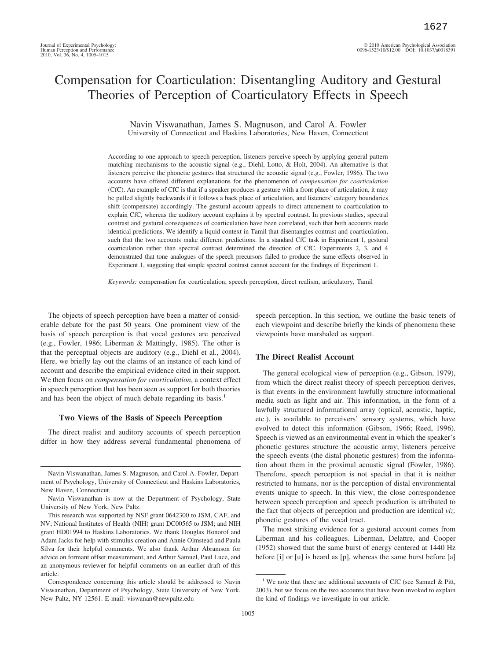# Compensation for Coarticulation: Disentangling Auditory and Gestural Theories of Perception of Coarticulatory Effects in Speech

## Navin Viswanathan, James S. Magnuson, and Carol A. Fowler University of Connecticut and Haskins Laboratories, New Haven, Connecticut

According to one approach to speech perception, listeners perceive speech by applying general pattern matching mechanisms to the acoustic signal (e.g., Diehl, Lotto, & Holt, 2004). An alternative is that listeners perceive the phonetic gestures that structured the acoustic signal (e.g., Fowler, 1986). The two accounts have offered different explanations for the phenomenon of *compensation for coarticulation* (CfC). An example of CfC is that if a speaker produces a gesture with a front place of articulation, it may be pulled slightly backwards if it follows a back place of articulation, and listeners' category boundaries shift (compensate) accordingly. The gestural account appeals to direct attunement to coarticulation to explain CfC, whereas the auditory account explains it by spectral contrast. In previous studies, spectral contrast and gestural consequences of coarticulation have been correlated, such that both accounts made identical predictions. We identify a liquid context in Tamil that disentangles contrast and coarticulation, such that the two accounts make different predictions. In a standard CfC task in Experiment 1, gestural coarticulation rather than spectral contrast determined the direction of CfC. Experiments 2, 3, and 4 demonstrated that tone analogues of the speech precursors failed to produce the same effects observed in Experiment 1, suggesting that simple spectral contrast cannot account for the findings of Experiment 1.

*Keywords:* compensation for coarticulation, speech perception, direct realism, articulatory, Tamil

The objects of speech perception have been a matter of considerable debate for the past 50 years. One prominent view of the basis of speech perception is that vocal gestures are perceived (e.g., Fowler, 1986; Liberman & Mattingly, 1985). The other is that the perceptual objects are auditory (e.g., Diehl et al., 2004). Here, we briefly lay out the claims of an instance of each kind of account and describe the empirical evidence cited in their support. We then focus on *compensation for coarticulation*, a context effect in speech perception that has been seen as support for both theories and has been the object of much debate regarding its basis.<sup>1</sup>

#### **Two Views of the Basis of Speech Perception**

The direct realist and auditory accounts of speech perception differ in how they address several fundamental phenomena of speech perception. In this section, we outline the basic tenets of each viewpoint and describe briefly the kinds of phenomena these viewpoints have marshaled as support.

## **The Direct Realist Account**

The general ecological view of perception (e.g., Gibson, 1979), from which the direct realist theory of speech perception derives, is that events in the environment lawfully structure informational media such as light and air. This information, in the form of a lawfully structured informational array (optical, acoustic, haptic, etc.), is available to perceivers' sensory systems, which have evolved to detect this information (Gibson, 1966; Reed, 1996). Speech is viewed as an environmental event in which the speaker's phonetic gestures structure the acoustic array; listeners perceive the speech events (the distal phonetic gestures) from the information about them in the proximal acoustic signal (Fowler, 1986). Therefore, speech perception is not special in that it is neither restricted to humans, nor is the perception of distal environmental events unique to speech. In this view, the close correspondence between speech perception and speech production is attributed to the fact that objects of perception and production are identical *viz.* phonetic gestures of the vocal tract.

The most striking evidence for a gestural account comes from Liberman and his colleagues. Liberman, Delattre, and Cooper (1952) showed that the same burst of energy centered at 1440 Hz before [i] or [u] is heard as [p], whereas the same burst before [a]

Navin Viswanathan, James S. Magnuson, and Carol A. Fowler, Department of Psychology, University of Connecticut and Haskins Laboratories, New Haven, Connecticut.

Navin Viswanathan is now at the Department of Psychology, State University of New York, New Paltz.

This research was supported by NSF grant 0642300 to JSM, CAF, and NV; National Institutes of Health (NIH) grant DC00565 to JSM; and NIH grant HD01994 to Haskins Laboratories. We thank Douglas Honorof and Adam Jacks for help with stimulus creation and Annie Olmstead and Paula Silva for their helpful comments. We also thank Arthur Abramson for advice on formant offset measurement, and Arthur Samuel, Paul Luce, and an anonymous reviewer for helpful comments on an earlier draft of this article.

Correspondence concerning this article should be addressed to Navin Viswanathan, Department of Psychology, State University of New York, New Paltz, NY 12561. E-mail: viswanan@newpaltz.edu

<sup>&</sup>lt;sup>1</sup> We note that there are additional accounts of CfC (see Samuel & Pitt, 2003), but we focus on the two accounts that have been invoked to explain the kind of findings we investigate in our article.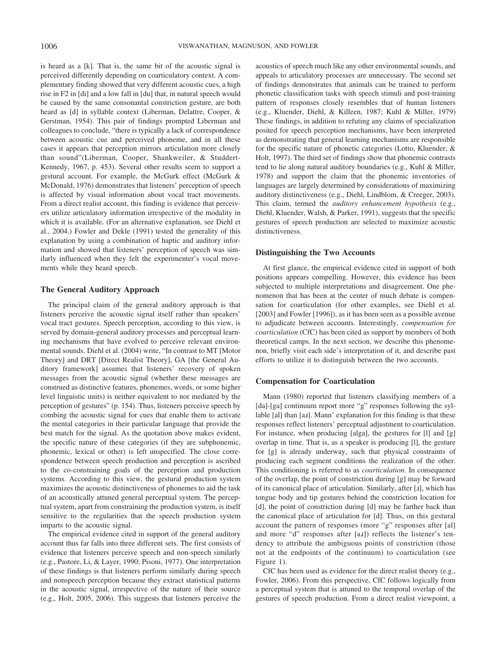is heard as a [k]. That is, the same bit of the acoustic signal is perceived differently depending on coarticulatory context. A complementary finding showed that very different acoustic cues, a high rise in F2 in [di] and a low fall in [du] that, in natural speech would be caused by the same consonantal constriction gesture, are both heard as [d] in syllable context (Liberman, Delattre, Cooper, & Gerstman, 1954). This pair of findings prompted Liberman and colleagues to conclude, "there is typically a lack of correspondence between acoustic cue and perceived phoneme, and in all these cases it appears that perception mirrors articulation more closely than sound"(Liberman, Cooper, Shankweiler, & Studdert-Kennedy, 1967, p. 453). Several other results seem to support a gestural account. For example, the McGurk effect (McGurk & McDonald, 1976) demonstrates that listeners' perception of speech is affected by visual information about vocal tract movements. From a direct realist account, this finding is evidence that perceivers utilize articulatory information irrespective of the modality in which it is available. (For an alternative explanation, see Diehl et al., 2004.) Fowler and Dekle (1991) tested the generality of this explanation by using a combination of haptic and auditory information and showed that listeners' perception of speech was similarly influenced when they felt the experimenter's vocal movements while they heard speech.

## **The General Auditory Approach**

The principal claim of the general auditory approach is that listeners perceive the acoustic signal itself rather than speakers' vocal tract gestures. Speech perception, according to this view, is served by domain-general auditory processes and perceptual learning mechanisms that have evolved to perceive relevant environmental sounds. Diehl et al. (2004) write, "In contrast to MT [Motor Theory] and DRT [Direct Realist Theory], GA [the General Auditory framework] assumes that listeners' recovery of spoken messages from the acoustic signal (whether these messages are construed as distinctive features, phonemes, words, or some higher level linguistic units) is neither equivalent to nor mediated by the perception of gestures" (p. 154). Thus, listeners perceive speech by combing the acoustic signal for cues that enable them to activate the mental categories in their particular language that provide the best match for the signal. As the quotation above makes evident, the specific nature of these categories (if they are subphonemic, phonemic, lexical or other) is left unspecified. The close correspondence between speech production and perception is ascribed to the co-constraining goals of the perception and production systems. According to this view, the gestural production system maximizes the acoustic distinctiveness of phonemes to aid the task of an acoustically attuned general perceptual system. The perceptual system, apart from constraining the production system, is itself sensitive to the regularities that the speech production system imparts to the acoustic signal.

The empirical evidence cited in support of the general auditory account thus far falls into three different sets. The first consists of evidence that listeners perceive speech and non-speech similarly (e.g., Pastore, Li, & Layer, 1990; Pisoni, 1977). One interpretation of these findings is that listeners perform similarly during speech and nonspeech perception because they extract statistical patterns in the acoustic signal, irrespective of the nature of their source (e.g., Holt, 2005, 2006). This suggests that listeners perceive the acoustics of speech much like any other environmental sounds, and appeals to articulatory processes are unnecessary. The second set of findings demonstrates that animals can be trained to perform phonetic classification tasks with speech stimuli and post-training pattern of responses closely resembles that of human listeners (e.g., Kluender, Diehl, & Killeen, 1987; Kuhl & Miller, 1979) These findings, in addition to refuting any claims of specialization posited for speech perception mechanisms, have been interpreted as demonstrating that general learning mechanisms are responsible for the specific nature of phonetic categories (Lotto, Kluender, & Holt, 1997). The third set of findings show that phonemic contrasts tend to lie along natural auditory boundaries (e.g., Kuhl & Miller, 1978) and support the claim that the phonemic inventories of languages are largely determined by considerations of maximizing auditory distinctiveness (e.g., Diehl, Lindblom, & Creeger, 2003). This claim, termed the *auditory enhancement hypothesis* (e.g., Diehl, Kluender, Walsh, & Parker, 1991), suggests that the specific gestures of speech production are selected to maximize acoustic distinctiveness.

## **Distinguishing the Two Accounts**

At first glance, the empirical evidence cited in support of both positions appears compelling. However, this evidence has been subjected to multiple interpretations and disagreement. One phenomenon that has been at the center of much debate is compensation for coarticulation (for other examples, see Diehl et al. [2003] and Fowler [1996]), as it has been seen as a possible avenue to adjudicate between accounts. Interestingly, *compensation for coarticulation* (CfC) has been cited as support by members of both theoretical camps. In the next section, we describe this phenomenon, briefly visit each side's interpretation of it, and describe past efforts to utilize it to distinguish between the two accounts.

## **Compensation for Coarticulation**

Mann (1980) reported that listeners classifying members of a [da]-[ga] continuum report more "g" responses following the syllable [al] than [aɹ]. Mann' explanation for this finding is that these responses reflect listeners' perceptual adjustment to coarticulation. For instance, when producing [alga], the gestures for [l] and [g] overlap in time. That is, as a speaker is producing [l], the gesture for [g] is already underway, such that physical constraints of producing each segment conditions the realization of the other. This conditioning is referred to as *coarticulation*. In consequence of the overlap, the point of constriction during [g] may be forward of its canonical place of articulation. Similarly, after [ɹ], which has tongue body and tip gestures behind the constriction location for [d], the point of constriction during [d] may be farther back than the canonical place of articulation for [d]. Thus, on this gestural account the pattern of responses (more "g" responses after [al] and more "d" responses after [aɹ]) reflects the listener's tendency to attribute the ambiguous points of constriction (those not at the endpoints of the continuum) to coarticulation (see Figure 1).

CfC has been used as evidence for the direct realist theory (e.g., Fowler, 2006). From this perspective, CfC follows logically from a perceptual system that is attuned to the temporal overlap of the gestures of speech production. From a direct realist viewpoint, a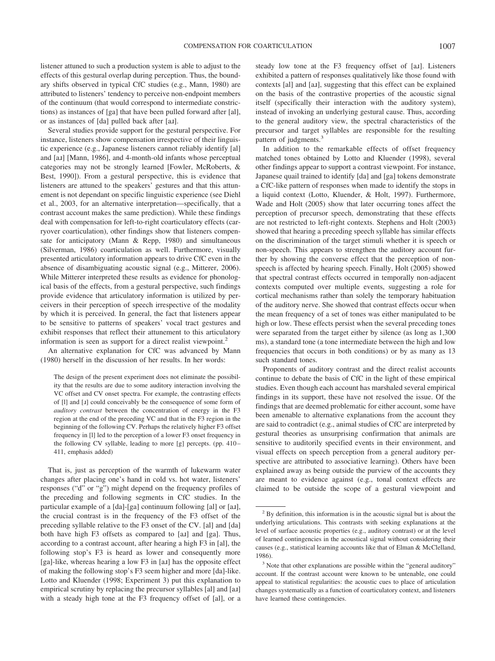listener attuned to such a production system is able to adjust to the effects of this gestural overlap during perception. Thus, the boundary shifts observed in typical CfC studies (e.g., Mann, 1980) are attributed to listeners' tendency to perceive non-endpoint members of the continuum (that would correspond to intermediate constrictions) as instances of [ga] that have been pulled forward after [al], or as instances of [da] pulled back after [aɹ].

Several studies provide support for the gestural perspective. For instance, listeners show compensation irrespective of their linguistic experience (e.g., Japanese listeners cannot reliably identify [al] and [aɹ] [Mann, 1986], and 4-month-old infants whose perceptual categories may not be strongly learned [Fowler, McRoberts, & Best, 1990]). From a gestural perspective, this is evidence that listeners are attuned to the speakers' gestures and that this attunement is not dependant on specific linguistic experience (see Diehl et al., 2003, for an alternative interpretation—specifically, that a contrast account makes the same prediction). While these findings deal with compensation for left-to-right coarticulatory effects (carryover coarticulation), other findings show that listeners compensate for anticipatory (Mann & Repp, 1980) and simultaneous (Silverman, 1986) coarticulation as well. Furthermore, visually presented articulatory information appears to drive CfC even in the absence of disambiguating acoustic signal (e.g., Mitterer, 2006). While Mitterer interpreted these results as evidence for phonological basis of the effects, from a gestural perspective, such findings provide evidence that articulatory information is utilized by perceivers in their perception of speech irrespective of the modality by which it is perceived. In general, the fact that listeners appear to be sensitive to patterns of speakers' vocal tract gestures and exhibit responses that reflect their attunement to this articulatory information is seen as support for a direct realist viewpoint.<sup>2</sup>

An alternative explanation for CfC was advanced by Mann (1980) herself in the discussion of her results. In her words:

The design of the present experiment does not eliminate the possibility that the results are due to some auditory interaction involving the VC offset and CV onset spectra. For example, the contrasting effects of [l] and [ɹ] could conceivably be the consequence of some form of *auditory contrast* between the concentration of energy in the F3 region at the end of the preceding VC and that in the F3 region in the beginning of the following CV. Perhaps the relatively higher F3 offset frequency in [l] led to the perception of a lower F3 onset frequency in the following CV syllable, leading to more [g] percepts. (pp. 410 – 411, emphasis added)

That is, just as perception of the warmth of lukewarm water changes after placing one's hand in cold vs. hot water, listeners' responses ("d" or "g") might depend on the frequency profiles of the preceding and following segments in CfC studies. In the particular example of a [da]-[ga] continuum following [al] or [aɹ], the crucial contrast is in the frequency of the F3 offset of the preceding syllable relative to the F3 onset of the CV. [al] and [da] both have high F3 offsets as compared to [aɹ] and [ga]. Thus, according to a contrast account, after hearing a high F3 in [al], the following stop's F3 is heard as lower and consequently more [ga]-like, whereas hearing a low F3 in [a*x*] has the opposite effect of making the following stop's F3 seem higher and more [da]-like. Lotto and Kluender (1998; Experiment 3) put this explanation to empirical scrutiny by replacing the precursor syllables [al] and [aɹ] with a steady high tone at the F3 frequency offset of [al], or a steady low tone at the F3 frequency offset of [aɹ]. Listeners exhibited a pattern of responses qualitatively like those found with contexts [al] and [aɹ], suggesting that this effect can be explained on the basis of the contrastive properties of the acoustic signal itself (specifically their interaction with the auditory system), instead of invoking an underlying gestural cause. Thus, according to the general auditory view, the spectral characteristics of the precursor and target syllables are responsible for the resulting pattern of judgments.<sup>3</sup>

In addition to the remarkable effects of offset frequency matched tones obtained by Lotto and Kluender (1998), several other findings appear to support a contrast viewpoint. For instance, Japanese quail trained to identify [da] and [ga] tokens demonstrate a CfC-like pattern of responses when made to identify the stops in a liquid context (Lotto, Kluender, & Holt, 1997). Furthermore, Wade and Holt (2005) show that later occurring tones affect the perception of precursor speech, demonstrating that these effects are not restricted to left-right contexts. Stephens and Holt (2003) showed that hearing a preceding speech syllable has similar effects on the discrimination of the target stimuli whether it is speech or non-speech. This appears to strengthen the auditory account further by showing the converse effect that the perception of nonspeech is affected by hearing speech. Finally, Holt (2005) showed that spectral contrast effects occurred in temporally non-adjacent contexts computed over multiple events, suggesting a role for cortical mechanisms rather than solely the temporary habituation of the auditory nerve. She showed that contrast effects occur when the mean frequency of a set of tones was either manipulated to be high or low. These effects persist when the several preceding tones were separated from the target either by silence (as long as 1,300 ms), a standard tone (a tone intermediate between the high and low frequencies that occurs in both conditions) or by as many as 13 such standard tones.

Proponents of auditory contrast and the direct realist accounts continue to debate the basis of CfC in the light of these empirical studies. Even though each account has marshaled several empirical findings in its support, these have not resolved the issue. Of the findings that are deemed problematic for either account, some have been amenable to alternative explanations from the account they are said to contradict (e.g., animal studies of CfC are interpreted by gestural theories as unsurprising confirmation that animals are sensitive to auditorily specified events in their environment, and visual effects on speech perception from a general auditory perspective are attributed to associative learning). Others have been explained away as being outside the purview of the accounts they are meant to evidence against (e.g., tonal context effects are claimed to be outside the scope of a gestural viewpoint and

<sup>&</sup>lt;sup>2</sup> By definition, this information is in the acoustic signal but is about the underlying articulations. This contrasts with seeking explanations at the level of surface acoustic properties (e.g., auditory contrast) or at the level of learned contingencies in the acoustical signal without considering their causes (e.g., statistical learning accounts like that of Elman & McClelland, 1986).

<sup>&</sup>lt;sup>3</sup> Note that other explanations are possible within the "general auditory" account. If the contrast account were known to be untenable, one could appeal to statistical regularities: the acoustic cues to place of articulation changes systematically as a function of coarticulatory context, and listeners have learned these contingencies.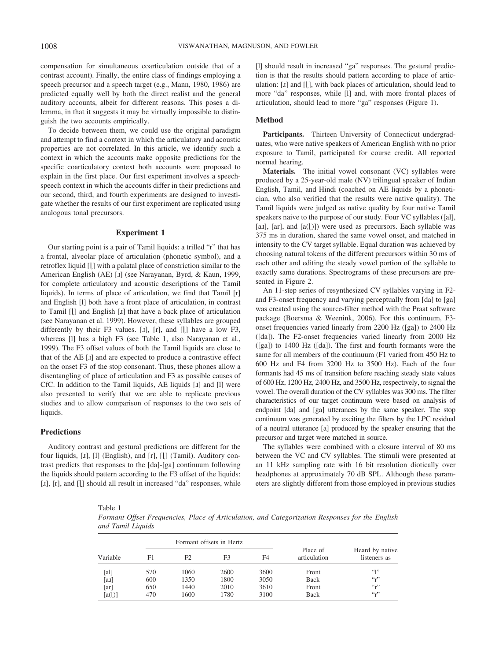compensation for simultaneous coarticulation outside that of a contrast account). Finally, the entire class of findings employing a speech precursor and a speech target (e.g., Mann, 1980, 1986) are predicted equally well by both the direct realist and the general auditory accounts, albeit for different reasons. This poses a dilemma, in that it suggests it may be virtually impossible to distinguish the two accounts empirically.

To decide between them, we could use the original paradigm and attempt to find a context in which the articulatory and acoustic properties are not correlated. In this article, we identify such a context in which the accounts make opposite predictions for the specific coarticulatory context both accounts were proposed to explain in the first place. Our first experiment involves a speechspeech context in which the accounts differ in their predictions and our second, third, and fourth experiments are designed to investigate whether the results of our first experiment are replicated using analogous tonal precursors.

## **Experiment 1**

Our starting point is a pair of Tamil liquids: a trilled "r" that has a frontal, alveolar place of articulation (phonetic symbol), and a retroflex liquid []] with a palatal place of constriction similar to the American English (AE) [1] (see Narayanan, Byrd, & Kaun, 1999, for complete articulatory and acoustic descriptions of the Tamil liquids). In terms of place of articulation, we find that Tamil [r] and English [l] both have a front place of articulation, in contrast to Tamil []] and English [1] that have a back place of articulation (see Narayanan et al. 1999). However, these syllables are grouped differently by their  $F3$  values. [1], [r], and [[] have a low  $F3$ , whereas [l] has a high F3 (see Table 1, also Narayanan et al., 1999). The F3 offset values of both the Tamil liquids are close to that of the AE [ɹ] and are expected to produce a contrastive effect on the onset F3 of the stop consonant. Thus, these phones allow a disentangling of place of articulation and F3 as possible causes of CfC. In addition to the Tamil liquids, AE liquids [ɹ] and [l] were also presented to verify that we are able to replicate previous studies and to allow comparison of responses to the two sets of liquids.

## **Predictions**

Auditory contrast and gestural predictions are different for the four liquids, [1], [l] (English), and [r], [l] (Tamil). Auditory contrast predicts that responses to the [da]-[ga] continuum following the liquids should pattern according to the F3 offset of the liquids: [1], [r], and [l] should all result in increased "da" responses, while

[l] should result in increased "ga" responses. The gestural prediction is that the results should pattern according to place of articulation: [1] and [], with back places of articulation, should lead to more "da" responses, while [l] and, with more frontal places of articulation, should lead to more "ga" responses (Figure 1).

#### **Method**

Participants. Thirteen University of Connecticut undergraduates, who were native speakers of American English with no prior exposure to Tamil, participated for course credit. All reported normal hearing.

**Materials.** The initial vowel consonant (VC) syllables were produced by a 25-year-old male (NV) trilingual speaker of Indian English, Tamil, and Hindi (coached on AE liquids by a phonetician, who also verified that the results were native quality). The Tamil liquids were judged as native quality by four native Tamil speakers naive to the purpose of our study. Four VC syllables ([al], [a.1], [ar], and  $[a($ L)]) were used as precursors. Each syllable was 375 ms in duration, shared the same vowel onset, and matched in intensity to the CV target syllable. Equal duration was achieved by choosing natural tokens of the different precursors within 30 ms of each other and editing the steady vowel portion of the syllable to exactly same durations. Spectrograms of these precursors are presented in Figure 2.

An 11-step series of resynthesized CV syllables varying in F2 and F3-onset frequency and varying perceptually from [da] to [ga] was created using the source-filter method with the Praat software package (Boersma & Weenink, 2006). For this continuum, F3 onset frequencies varied linearly from 2200 Hz ([ga]) to 2400 Hz ([da]). The F2-onset frequencies varied linearly from 2000 Hz ([ga]) to 1400 Hz ([da]). The first and fourth formants were the same for all members of the continuum (F1 varied from 450 Hz to 600 Hz and F4 from 3200 Hz to 3500 Hz). Each of the four formants had 45 ms of transition before reaching steady state values of 600 Hz, 1200 Hz, 2400 Hz, and 3500 Hz, respectively, to signal the vowel. The overall duration of the CV syllables was 300 ms. The filter characteristics of our target continuum were based on analysis of endpoint [da] and [ga] utterances by the same speaker. The stop continuum was generated by exciting the filters by the LPC residual of a neutral utterance [a] produced by the speaker ensuring that the precursor and target were matched in source.

The syllables were combined with a closure interval of 80 ms between the VC and CV syllables. The stimuli were presented at an 11 kHz sampling rate with 16 bit resolution diotically over headphones at approximately 70 dB SPL. Although these parameters are slightly different from those employed in previous studies

Table 1

*Formant Offset Frequencies, Place of Articulation, and Categorization Responses for the English and Tamil Liquids*

| Variable | Formant offsets in Hertz |                |      |      |                          |                                 |
|----------|--------------------------|----------------|------|------|--------------------------|---------------------------------|
|          | F1                       | F <sub>2</sub> | F3   | F4   | Place of<br>articulation | Heard by native<br>listeners as |
| [al]     | 570                      | 1060           | 2600 | 3600 | Front                    | $\left( \cdot \right)$          |
| [a.ɪ]    | 600                      | 1350           | 1800 | 3050 | Back                     | $\mathfrak{c}_1$ ,              |
| [ar]     | 650                      | 1440           | 2010 | 3610 | Front                    | $\mathfrak{c}_r$                |
| [a(      | 470                      | 1600           | 1780 | 3100 | Back                     | , '                             |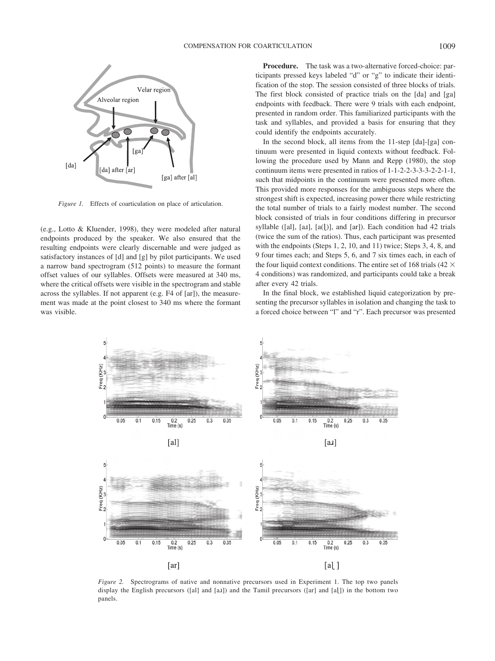

*Figure 1.* Effects of coarticulation on place of articulation.

(e.g., Lotto & Kluender, 1998), they were modeled after natural endpoints produced by the speaker. We also ensured that the resulting endpoints were clearly discernable and were judged as satisfactory instances of [d] and [g] by pilot participants. We used a narrow band spectrogram (512 points) to measure the formant offset values of our syllables. Offsets were measured at 340 ms, where the critical offsets were visible in the spectrogram and stable across the syllables. If not apparent (e.g. F4 of [ar]), the measurement was made at the point closest to 340 ms where the formant was visible.

**Procedure.** The task was a two-alternative forced-choice: participants pressed keys labeled "d" or "g" to indicate their identification of the stop. The session consisted of three blocks of trials. The first block consisted of practice trials on the [da] and [ga] endpoints with feedback. There were 9 trials with each endpoint, presented in random order. This familiarized participants with the task and syllables, and provided a basis for ensuring that they could identify the endpoints accurately.

In the second block, all items from the 11-step [da]-[ga] continuum were presented in liquid contexts without feedback. Following the procedure used by Mann and Repp (1980), the stop continuum items were presented in ratios of 1-1-2-2-3-3-3-2-2-1-1, such that midpoints in the continuum were presented more often. This provided more responses for the ambiguous steps where the strongest shift is expected, increasing power there while restricting the total number of trials to a fairly modest number. The second block consisted of trials in four conditions differing in precursor syllable ([al], [a.], [a( $[$ )], and [ar]). Each condition had 42 trials (twice the sum of the ratios). Thus, each participant was presented with the endpoints (Steps 1, 2, 10, and 11) twice; Steps 3, 4, 8, and 9 four times each; and Steps 5, 6, and 7 six times each, in each of the four liquid context conditions. The entire set of 168 trials (42  $\times$ 4 conditions) was randomized, and participants could take a break after every 42 trials.

In the final block, we established liquid categorization by presenting the precursor syllables in isolation and changing the task to a forced choice between "l" and "r". Each precursor was presented



*Figure 2.* Spectrograms of native and nonnative precursors used in Experiment 1. The top two panels display the English precursors ([al] and [aɪ]) and the Tamil precursors ([ar] and [a]]) in the bottom two panels.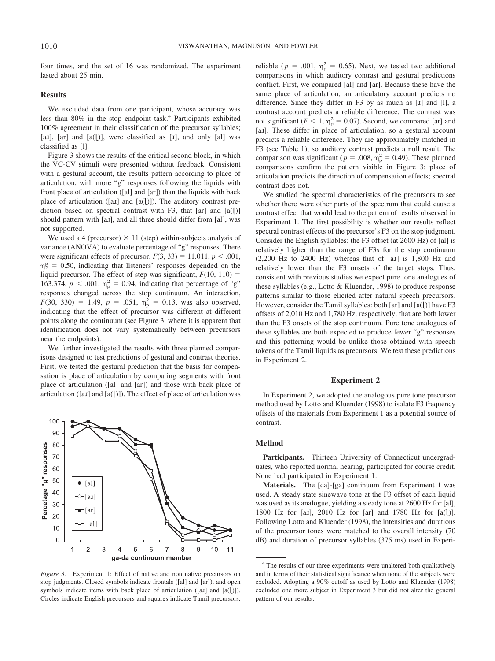four times, and the set of 16 was randomized. The experiment lasted about 25 min.

## **Results**

We excluded data from one participant, whose accuracy was less than  $80\%$  in the stop endpoint task.<sup>4</sup> Participants exhibited 100% agreement in their classification of the precursor syllables; [a*x*], [ar] and  $[a($ <sub>1</sub> $)]$ , were classified as [*x*], and only [al] was classified as [l].

Figure 3 shows the results of the critical second block, in which the VC-CV stimuli were presented without feedback. Consistent with a gestural account, the results pattern according to place of articulation, with more "g" responses following the liquids with front place of articulation ([al] and [ar]) than the liquids with back place of articulation ([a*x*] and [a(l)]). The auditory contrast prediction based on spectral contrast with  $F3$ , that  $[ar]$  and  $[a(1)]$ should pattern with [aɹ], and all three should differ from [al], was not supported.

We used a 4 (precursor)  $\times$  11 (step) within-subjects analysis of variance (ANOVA) to evaluate percentage of "g" responses. There were significant effects of precursor,  $F(3, 33) = 11.011$ ,  $p < .001$ ,  $\eta_2^p = 0.50$ , indicating that listeners' responses depended on the liquid precursor. The effect of step was significant,  $F(10, 110) =$ 163.374,  $p < .001$ ,  $\eta_p^2 = 0.94$ , indicating that percentage of "g" responses changed across the stop continuum. An interaction,  $F(30, 330) = 1.49, p = .051, \eta_p^2 = 0.13$ , was also observed, indicating that the effect of precursor was different at different points along the continuum (see Figure 3, where it is apparent that identification does not vary systematically between precursors near the endpoints).

We further investigated the results with three planned comparisons designed to test predictions of gestural and contrast theories. First, we tested the gestural prediction that the basis for compensation is place of articulation by comparing segments with front place of articulation ([al] and [ar]) and those with back place of articulation ([a $I$ ] and [a(1)]). The effect of place of articulation was



*Figure 3.* Experiment 1: Effect of native and non native precursors on stop judgments. Closed symbols indicate frontals ([al] and [ar]), and open symbols indicate items with back place of articulation ( $[a1]$  and  $[a($ <sub>l</sub> $)]$ ). Circles indicate English precursors and squares indicate Tamil precursors.

reliable ( $p = .001$ ,  $\eta_p^2 = 0.65$ ). Next, we tested two additional comparisons in which auditory contrast and gestural predictions conflict. First, we compared [al] and [ar]. Because these have the same place of articulation, an articulatory account predicts no difference. Since they differ in F3 by as much as [ɹ] and [l], a contrast account predicts a reliable difference. The contrast was not significant ( $F < 1$ ,  $\eta_p^2 = 0.07$ ). Second, we compared [ar] and [aɹ]. These differ in place of articulation, so a gestural account predicts a reliable difference. They are approximately matched in F3 (see Table 1), so auditory contrast predicts a null result. The comparison was significant ( $p = .008$ ,  $\eta_p^2 = 0.49$ ). These planned comparisons confirm the pattern visible in Figure 3: place of articulation predicts the direction of compensation effects; spectral contrast does not.

We studied the spectral characteristics of the precursors to see whether there were other parts of the spectrum that could cause a contrast effect that would lead to the pattern of results observed in Experiment 1. The first possibility is whether our results reflect spectral contrast effects of the precursor's F3 on the stop judgment. Consider the English syllables: the F3 offset (at 2600 Hz) of [al] is relatively higher than the range of F3s for the stop continuum  $(2,200 \text{ Hz}$  to  $2400 \text{ Hz}$ ) whereas that of [a*x*] is  $1,800 \text{ Hz}$  and relatively lower than the F3 onsets of the target stops. Thus, consistent with previous studies we expect pure tone analogues of these syllables (e.g., Lotto & Kluender, 1998) to produce response patterns similar to those elicited after natural speech precursors. However, consider the Tamil syllables: both [ar] and  $[a(1)]$  have F3 offsets of 2,010 Hz and 1,780 Hz, respectively, that are both lower than the F3 onsets of the stop continuum. Pure tone analogues of these syllables are both expected to produce fewer "g" responses and this patterning would be unlike those obtained with speech tokens of the Tamil liquids as precursors. We test these predictions in Experiment 2.

## **Experiment 2**

In Experiment 2, we adopted the analogous pure tone precursor method used by Lotto and Kluender (1998) to isolate F3 frequency offsets of the materials from Experiment 1 as a potential source of contrast.

## **Method**

Participants. Thirteen University of Connecticut undergraduates, who reported normal hearing, participated for course credit. None had participated in Experiment 1.

**Materials.** The [da]-[ga] continuum from Experiment 1 was used. A steady state sinewave tone at the F3 offset of each liquid was used as its analogue, yielding a steady tone at 2600 Hz for [al], 1800 Hz for [a1], 2010 Hz for [ar] and 1780 Hz for [a(1)]. Following Lotto and Kluender (1998), the intensities and durations of the precursor tones were matched to the overall intensity (70 dB) and duration of precursor syllables (375 ms) used in Experi-

<sup>&</sup>lt;sup>4</sup> The results of our three experiments were unaltered both qualitatively and in terms of their statistical significance when none of the subjects were excluded. Adopting a 90% cutoff as used by Lotto and Kluender (1998) excluded one more subject in Experiment 3 but did not alter the general pattern of our results.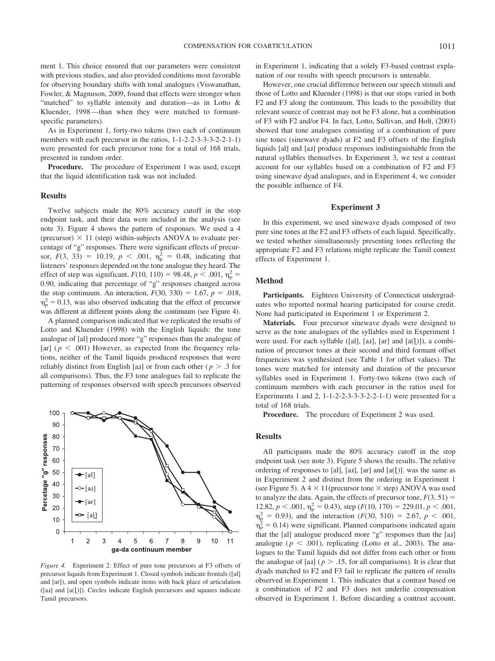ment 1. This choice ensured that our parameters were consistent with previous studies, and also provided conditions most favorable for observing boundary shifts with tonal analogues (Viswanathan, Fowler, & Magnuson, 2009, found that effects were stronger when "matched" to syllable intensity and duration—as in Lotto & Kluender, 1998—than when they were matched to formantspecific parameters).

As in Experiment 1, forty-two tokens (two each of continuum members with each precursor in the ratios,  $1-1-2-2-3-3-3-2-2-1-1$ were presented for each precursor tone for a total of 168 trials, presented in random order.

**Procedure.** The procedure of Experiment 1 was used, except that the liquid identification task was not included.

#### **Results**

Twelve subjects made the 80% accuracy cutoff in the stop endpoint task, and their data were included in the analysis (see note 3). Figure 4 shows the pattern of responses. We used a 4 (precursor)  $\times$  11 (step) within-subjects ANOVA to evaluate percentage of "g" responses. There were significant effects of precursor,  $F(3, 33) = 10.19$ ,  $p < .001$ ,  $\eta_p^2 = 0.48$ , indicating that listeners' responses depended on the tone analogue they heard. The effect of step was significant,  $F(10, 110) = 98.48$ ,  $p < .001$ ,  $\eta_p^2 =$ 0.90, indicating that percentage of "g" responses changed across the stop continuum. An interaction,  $F(30, 330) = 1.67$ ,  $p = .018$ ,  $\eta_{\rm p}^2 = 0.13$ , was also observed indicating that the effect of precursor was different at different points along the continuum (see Figure 4).

A planned comparison indicated that we replicated the results of Lotto and Kluender (1998) with the English liquids: the tone analogue of [al] produced more "g" responses than the analogue of [ar]  $(p < .001)$  However, as expected from the frequency relations, neither of the Tamil liquids produced responses that were reliably distinct from English [a*ɪ*] or from each other ( $p > .3$  for all comparisons). Thus, the F3 tone analogues fail to replicate the patterning of responses observed with speech precursors observed



*Figure 4.* Experiment 2: Effect of pure tone precursors at F3 offsets of precursor liquids from Experiment 1. Closed symbols indicate frontals ([al] and [ar]), and open symbols indicate items with back place of articulation ([a.I] and [a(1)]). Circles indicate English precursors and squares indicate Tamil precursors.

in Experiment 1, indicating that a solely F3-based contrast explanation of our results with speech precursors is untenable.

However, one crucial difference between our speech stimuli and those of Lotto and Kluender (1998) is that our stops varied in both F2 and F3 along the continuum. This leads to the possibility that relevant source of contrast may not be F3 alone, but a combination of F3 with F2 and/or F4. In fact, Lotto, Sullivan, and Holt, (2003) showed that tone analogues consisting of a combination of pure sine tones (sinewave dyads) at F2 and F3 offsets of the English liquids [al] and [aɹ] produce responses indistinguishable from the natural syllables themselves. In Experiment 3, we test a contrast account for our syllables based on a combination of F2 and F3 using sinewave dyad analogues, and in Experiment 4, we consider the possible influence of F4.

## **Experiment 3**

In this experiment, we used sinewave dyads composed of two pure sine tones at the F2 and F3 offsets of each liquid. Specifically, we tested whether simultaneously presenting tones reflecting the appropriate F2 and F3 relations might replicate the Tamil context effects of Experiment 1.

## **Method**

Participants. Eighteen University of Connecticut undergraduates who reported normal hearing participated for course credit. None had participated in Experiment 1 or Experiment 2.

**Materials.** Four precursor sinewave dyads were designed to serve as the tone analogues of the syllables used in Experiment 1 were used. For each syllable ([al], [a $I$ ], [ar] and [a([)]), a combination of precursor tones at their second and third formant offset frequencies was synthesized (see Table 1 for offset values). The tones were matched for intensity and duration of the precursor syllables used in Experiment 1. Forty-two tokens (two each of continuum members with each precursor in the ratios used for Experiments 1 and 2, 1-1-2-2-3-3-3-2-2-1-1) were presented for a total of 168 trials.

**Procedure.** The procedure of Experiment 2 was used.

## **Results**

All participants made the 80% accuracy cutoff in the stop endpoint task (see note 3). Figure 5 shows the results. The relative ordering of responses to [al], [a $I$ ], [ar] and [a( $I$ )]. was the same as in Experiment 2 and distinct from the ordering in Experiment 1 (see Figure 5). A  $4 \times 11$  (precursor tone  $\times$  step) ANOVA was used to analyze the data. Again, the effects of precursor tone,  $F(3, 51) =$ 12.82,  $p < .001$ ,  $\eta_p^2 = 0.43$ ), step ( $F(10, 170) = 229.01$ ,  $p < .001$ ,  $\eta_{\rm p}^2 = 0.93$ ), and the interaction (*F*(30, 510) = 2.67, *p* < .001,  $\eta_{\rm p}^{\rm 5}$  = 0.14) were significant. Planned comparisons indicated again that the [al] analogue produced more "g" responses than the [aɹ] analogue ( $p < .001$ ), replicating (Lotto et al., 2003). The analogues to the Tamil liquids did not differ from each other or from the analogue of [a*x*] ( $p > .15$ , for all comparisons). It is clear that dyads matched to F2 and F3 fail to replicate the pattern of results observed in Experiment 1. This indicates that a contrast based on a combination of F2 and F3 does not underlie compensation observed in Experiment 1. Before discarding a contrast account,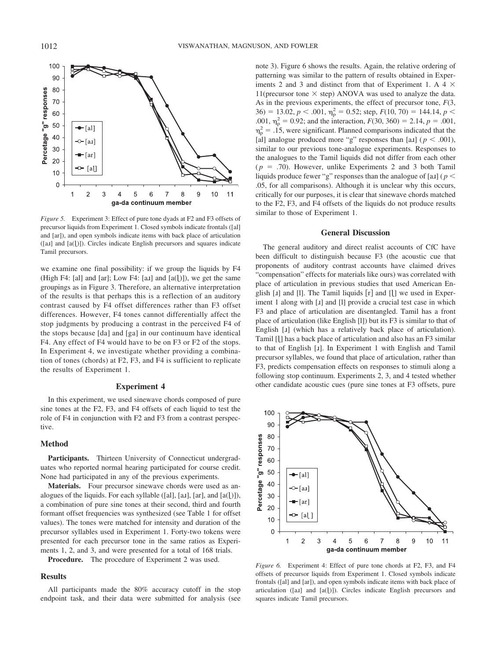

*Figure 5.* Experiment 3: Effect of pure tone dyads at F2 and F3 offsets of precursor liquids from Experiment 1. Closed symbols indicate frontals ([al] and [ar]), and open symbols indicate items with back place of articulation ([a.I] and [a(1)]). Circles indicate English precursors and squares indicate Tamil precursors.

we examine one final possibility: if we group the liquids by F4 (High F4: [al] and [ar]; Low F4: [a*l*] and  $[a($ *l*)]), we get the same groupings as in Figure 3. Therefore, an alternative interpretation of the results is that perhaps this is a reflection of an auditory contrast caused by F4 offset differences rather than F3 offset differences. However, F4 tones cannot differentially affect the stop judgments by producing a contrast in the perceived F4 of the stops because [da] and [ga] in our continuum have identical F4. Any effect of F4 would have to be on F3 or F2 of the stops. In Experiment 4, we investigate whether providing a combination of tones (chords) at F2, F3, and F4 is sufficient to replicate the results of Experiment 1.

## **Experiment 4**

In this experiment, we used sinewave chords composed of pure sine tones at the F2, F3, and F4 offsets of each liquid to test the role of F4 in conjunction with F2 and F3 from a contrast perspective.

#### **Method**

Participants. Thirteen University of Connecticut undergraduates who reported normal hearing participated for course credit. None had participated in any of the previous experiments.

**Materials.** Four precursor sinewave chords were used as analogues of the liquids. For each syllable  $([al], [aJ], [ar], and  $[a([)])$ ,$ a combination of pure sine tones at their second, third and fourth formant offset frequencies was synthesized (see Table 1 for offset values). The tones were matched for intensity and duration of the precursor syllables used in Experiment 1. Forty-two tokens were presented for each precursor tone in the same ratios as Experiments 1, 2, and 3, and were presented for a total of 168 trials.

**Procedure.** The procedure of Experiment 2 was used.

#### **Results**

All participants made the 80% accuracy cutoff in the stop endpoint task, and their data were submitted for analysis (see

note 3). Figure 6 shows the results. Again, the relative ordering of patterning was similar to the pattern of results obtained in Experiments 2 and 3 and distinct from that of Experiment 1. A 4  $\times$ 11(precursor tone  $\times$  step) ANOVA was used to analyze the data. As in the previous experiments, the effect of precursor tone, *F*(3,  $36$ ) = 13.02, *p* < .001,  $\eta_p^2$  = 0.52; step,  $F(10, 70)$  = 144.14, *p* < .001,  $\eta_p^2 = 0.92$ ; and the interaction,  $F(30, 360) = 2.14$ ,  $p = .001$ ,  $\eta_{\rm p}^2 = .15$ , were significant. Planned comparisons indicated that the [al] analogue produced more "g" responses than [a*x*] ( $p < .001$ ), similar to our previous tone-analogue experiments. Responses to the analogues to the Tamil liquids did not differ from each other  $(p = .70)$ . However, unlike Experiments 2 and 3 both Tamil liquids produce fewer "g" responses than the analogue of [a*x*] ( $p$  < .05, for all comparisons). Although it is unclear why this occurs, critically for our purposes, it is clear that sinewave chords matched to the F2, F3, and F4 offsets of the liquids do not produce results similar to those of Experiment 1.

#### **General Discussion**

The general auditory and direct realist accounts of CfC have been difficult to distinguish because F3 (the acoustic cue that proponents of auditory contrast accounts have claimed drives "compensation" effects for materials like ours) was correlated with place of articulation in previous studies that used American English  $[I]$  and  $[I]$ . The Tamil liquids  $[r]$  and  $[I]$  we used in Experiment 1 along with [*x*] and [1] provide a crucial test case in which F3 and place of articulation are disentangled. Tamil has a front place of articulation (like English [l]) but its F3 is similar to that of English [ɹ] (which has a relatively back place of articulation). Tamil [] has a back place of articulation and also has an F3 similar to that of English [ɹ]. In Experiment 1 with English and Tamil precursor syllables, we found that place of articulation, rather than F3, predicts compensation effects on responses to stimuli along a following stop continuum. Experiments 2, 3, and 4 tested whether other candidate acoustic cues (pure sine tones at F3 offsets, pure



*Figure 6.* Experiment 4: Effect of pure tone chords at F2, F3, and F4 offsets of precursor liquids from Experiment 1. Closed symbols indicate frontals ([al] and [ar]), and open symbols indicate items with back place of  $arliculation$  ([a $I$ ] and [a( $I$ )]). Circles indicate English precursors and squares indicate Tamil precursors.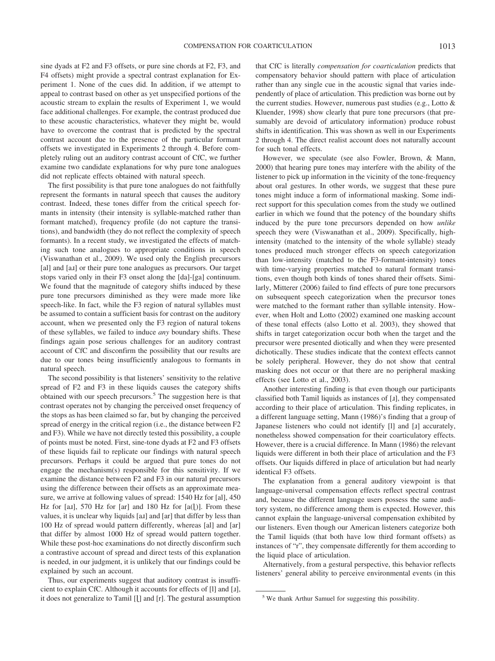sine dyads at F2 and F3 offsets, or pure sine chords at F2, F3, and F4 offsets) might provide a spectral contrast explanation for Experiment 1. None of the cues did. In addition, if we attempt to appeal to contrast based on other as yet unspecified portions of the acoustic stream to explain the results of Experiment 1, we would face additional challenges. For example, the contrast produced due to these acoustic characteristics, whatever they might be, would have to overcome the contrast that is predicted by the spectral contrast account due to the presence of the particular formant offsets we investigated in Experiments 2 through 4. Before completely ruling out an auditory contrast account of CfC, we further examine two candidate explanations for why pure tone analogues did not replicate effects obtained with natural speech.

The first possibility is that pure tone analogues do not faithfully represent the formants in natural speech that causes the auditory contrast. Indeed, these tones differ from the critical speech formants in intensity (their intensity is syllable-matched rather than formant matched), frequency profile (do not capture the transitions), and bandwidth (they do not reflect the complexity of speech formants). In a recent study, we investigated the effects of matching such tone analogues to appropriate conditions in speech (Viswanathan et al., 2009). We used only the English precursors [al] and [a*x*] or their pure tone analogues as precursors. Our target stops varied only in their F3 onset along the [da]-[ga] continuum. We found that the magnitude of category shifts induced by these pure tone precursors diminished as they were made more like speech-like. In fact, while the F3 region of natural syllables must be assumed to contain a sufficient basis for contrast on the auditory account, when we presented only the F3 region of natural tokens of these syllables, we failed to induce *any* boundary shifts. These findings again pose serious challenges for an auditory contrast account of CfC and disconfirm the possibility that our results are due to our tones being insufficiently analogous to formants in natural speech.

The second possibility is that listeners' sensitivity to the relative spread of F2 and F3 in these liquids causes the category shifts obtained with our speech precursors.<sup>5</sup> The suggestion here is that contrast operates not by changing the perceived onset frequency of the stops as has been claimed so far, but by changing the perceived spread of energy in the critical region (i.e., the distance between F2 and F3). While we have not directly tested this possibility, a couple of points must be noted. First, sine-tone dyads at F2 and F3 offsets of these liquids fail to replicate our findings with natural speech precursors. Perhaps it could be argued that pure tones do not engage the mechanism(s) responsible for this sensitivity. If we examine the distance between F2 and F3 in our natural precursors using the difference between their offsets as an approximate measure, we arrive at following values of spread: 1540 Hz for [al], 450 Hz for [a*x*], 570 Hz for [ar] and 180 Hz for [a( $\lfloor$ )]. From these values, it is unclear why liquids [aɹ] and [ar] that differ by less than 100 Hz of spread would pattern differently, whereas [al] and [ar] that differ by almost 1000 Hz of spread would pattern together. While these post-hoc examinations do not directly disconfirm such a contrastive account of spread and direct tests of this explanation is needed, in our judgment, it is unlikely that our findings could be explained by such an account.

Thus, our experiments suggest that auditory contrast is insufficient to explain CfC. Although it accounts for effects of [l] and [ɹ], it does not generalize to Tamil []] and [r]. The gestural assumption

that CfC is literally *compensation for coarticulation* predicts that compensatory behavior should pattern with place of articulation rather than any single cue in the acoustic signal that varies independently of place of articulation. This prediction was borne out by the current studies. However, numerous past studies (e.g., Lotto & Kluender, 1998) show clearly that pure tone precursors (that presumably are devoid of articulatory information) produce robust shifts in identification. This was shown as well in our Experiments 2 through 4. The direct realist account does not naturally account for such tonal effects.

However, we speculate (see also Fowler, Brown, & Mann, 2000) that hearing pure tones may interfere with the ability of the listener to pick up information in the vicinity of the tone-frequency about oral gestures. In other words, we suggest that these pure tones might induce a form of informational masking. Some indirect support for this speculation comes from the study we outlined earlier in which we found that the potency of the boundary shifts induced by the pure tone precursors depended on how *unlike* speech they were (Viswanathan et al., 2009). Specifically, highintensity (matched to the intensity of the whole syllable) steady tones produced much stronger effects on speech categorization than low-intensity (matched to the F3-formant-intensity) tones with time-varying properties matched to natural formant transitions, even though both kinds of tones shared their offsets. Similarly, Mitterer (2006) failed to find effects of pure tone precursors on subsequent speech categorization when the precursor tones were matched to the formant rather than syllable intensity. However, when Holt and Lotto (2002) examined one masking account of these tonal effects (also Lotto et al. 2003), they showed that shifts in target categorization occur both when the target and the precursor were presented diotically and when they were presented dichotically. These studies indicate that the context effects cannot be solely peripheral. However, they do not show that central masking does not occur or that there are no peripheral masking effects (see Lotto et al., 2003).

Another interesting finding is that even though our participants classified both Tamil liquids as instances of [ɹ], they compensated according to their place of articulation. This finding replicates, in a different language setting, Mann (1986)'s finding that a group of Japanese listeners who could not identify [l] and [ɹ] accurately, nonetheless showed compensation for their coarticulatory effects. However, there is a crucial difference. In Mann (1986) the relevant liquids were different in both their place of articulation and the F3 offsets. Our liquids differed in place of articulation but had nearly identical F3 offsets.

The explanation from a general auditory viewpoint is that language-universal compensation effects reflect spectral contrast and, because the different language users possess the same auditory system, no difference among them is expected. However, this cannot explain the language-universal compensation exhibited by our listeners. Even though our American listeners categorize both the Tamil liquids (that both have low third formant offsets) as instances of "r", they compensate differently for them according to the liquid place of articulation.

Alternatively, from a gestural perspective, this behavior reflects listeners' general ability to perceive environmental events (in this

<sup>5</sup> We thank Arthur Samuel for suggesting this possibility.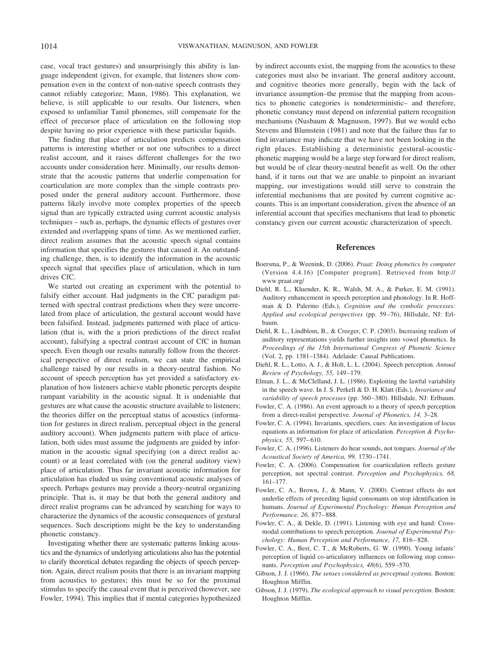case, vocal tract gestures) and unsurprisingly this ability is language independent (given, for example, that listeners show compensation even in the context of non-native speech contrasts they cannot reliably categorize; Mann, 1986). This explanation, we believe, is still applicable to our results. Our listeners, when exposed to unfamiliar Tamil phonemes, still compensate for the effect of precursor place of articulation on the following stop despite having no prior experience with these particular liquids.

The finding that place of articulation predicts compensation patterns is interesting whether or not one subscribes to a direct realist account, and it raises different challenges for the two accounts under consideration here. Minimally, our results demonstrate that the acoustic patterns that underlie compensation for coarticulation are more complex than the simple contrasts proposed under the general auditory account. Furthermore, those patterns likely involve more complex properties of the speech signal than are typically extracted using current acoustic analysis techniques – such as, perhaps, the dynamic effects of gestures over extended and overlapping spans of time. As we mentioned earlier, direct realism assumes that the acoustic speech signal contains information that specifies the gestures that caused it. An outstanding challenge, then, is to identify the information in the acoustic speech signal that specifies place of articulation, which in turn drives CfC.

We started out creating an experiment with the potential to falsify either account. Had judgments in the CfC paradigm patterned with spectral contrast predictions when they were uncorrelated from place of articulation, the gestural account would have been falsified. Instead, judgments patterned with place of articulation (that is, with the a priori predictions of the direct realist account), falsifying a spectral contrast account of CfC in human speech. Even though our results naturally follow from the theoretical perspective of direct realism, we can state the empirical challenge raised by our results in a theory-neutral fashion. No account of speech perception has yet provided a satisfactory explanation of how listeners achieve stable phonetic percepts despite rampant variability in the acoustic signal. It is undeniable that gestures are what cause the acoustic structure available to listeners; the theories differ on the perceptual status of acoustics (information for gestures in direct realism, perceptual object in the general auditory account). When judgments pattern with place of articulation, both sides must assume the judgments are guided by information in the acoustic signal specifying (on a direct realist account) or at least correlated with (on the general auditory view) place of articulation. Thus far invariant acoustic information for articulation has eluded us using conventional acoustic analyses of speech. Perhaps gestures may provide a theory-neutral organizing principle. That is, it may be that both the general auditory and direct realist programs can be advanced by searching for ways to characterize the dynamics of the acoustic consequences of gestural sequences. Such descriptions might be the key to understanding phonetic constancy.

Investigating whether there are systematic patterns linking acoustics and the dynamics of underlying articulations also has the potential to clarify theoretical debates regarding the objects of speech perception. Again, direct realism posits that there is an invariant mapping from acoustics to gestures; this must be so for the proximal stimulus to specify the causal event that is perceived (however, see Fowler, 1994). This implies that if mental categories hypothesized by indirect accounts exist, the mapping from the acoustics to these categories must also be invariant. The general auditory account, and cognitive theories more generally, begin with the lack of invariance assumption–the premise that the mapping from acoustics to phonetic categories is nondeterministic– and therefore, phonetic constancy must depend on inferential pattern recognition mechanisms (Nusbaum & Magnuson, 1997). But we would echo Stevens and Blumstein (1981) and note that the failure thus far to find invariance may indicate that we have not been looking in the right places. Establishing a deterministic gestural-acousticphonetic mapping would be a large step forward for direct realism, but would be of clear theory-neutral benefit as well. On the other hand, if it turns out that we are unable to pinpoint an invariant mapping, our investigations would still serve to constrain the inferential mechanisms that are posited by current cognitive accounts. This is an important consideration, given the absence of an inferential account that specifies mechanisms that lead to phonetic constancy given our current acoustic characterization of speech.

## **References**

- Boersma, P., & Weenink, D. (2006). *Praat: Doing phonetics by computer* (Version 4.4.16) [Computer program]. Retrieved from http:// www.praat.org/
- Diehl, R. L., Kluender, K. R., Walsh, M. A., & Parker, E. M. (1991). Auditory enhancement in speech perception and phonology. In R. Hoffman & D. Palermo (Eds.), *Cognition and the symbolic processes: Applied and ecological perspectives* (pp. 59 –76), Hillsdale, NJ: Erlbaum.
- Diehl, R. L., Lindblom, B., & Creeger, C. P. (2003). Increasing realism of auditory representations yields further insights into vowel phonetics. In *Proceedings of the 15th International Congress of Phonetic Science* (Vol. 2, pp. 1381–1384). Adelaide: Causal Publications.
- Diehl, R. L., Lotto, A. J., & Holt, L. L. (2004). Speech perception. *Annual Review of Psychology, 55,* 149 –179.
- Elman, J. L., & McClelland, J. L. (1986). Exploiting the lawful variability in the speech wave. In J. S. Perkell & D. H. Klatt (Eds.), *Invariance and variability of speech processes* (pp. 360 –380). Hillsdale, NJ: Erlbaum.
- Fowler, C. A. (1986). An event approach to a theory of speech perception from a direct-realist perspective. *Journal of Phonetics, 14,* 3–28.
- Fowler, C. A. (1994). Invariants, specifiers, cues: An investigation of locus equations as information for place of articulation. *Perception & Psychophysics, 55,* 597– 610.
- Fowler, C. A. (1996). Listeners do hear sounds, not tongues. *Journal of the Acoustical Society of America, 99,* 1730 –1741.
- Fowler, C. A. (2006). Compensation for coarticulation reflects gesture perception, not spectral contrast. *Perception and Psychophysics, 68,* 161–177.
- Fowler, C. A., Brown, J., & Mann, V. (2000). Contrast effects do not underlie effects of preceding liquid consonants on stop identification in humans. *Journal of Experimental Psychology: Human Perception and Performance, 26,* 877– 888.
- Fowler, C. A., & Dekle, D. (1991). Listening with eye and hand: Crossmodal contributions to speech perception. *Journal of Experimental Psychology: Human Perception and Performance, 17,* 816 – 828.
- Fowler, C. A., Best, C. T., & McRoberts, G. W. (1990). Young infants' perception of liquid co-articulatory influences on following stop consonants. *Perception and Psychophysics, 48*(6), 559 –570.
- Gibson, J. J. (1966). *The senses considered as perceptual systems.* Boston: Houghton Mifflin.
- Gibson, J. J. (1979). *The ecological approach to visual perception.* Boston: Houghton Mifflin.